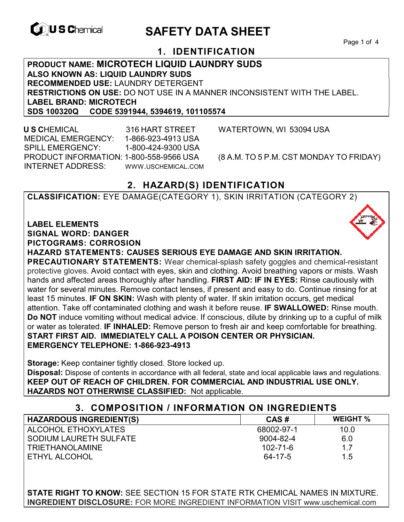

# **EXAGREM** SAFETY DATA SHEET

Page 1 of 4

# **1. IDENTIFICATION**

**PRODUCT NAME: MICROTECH LIQUID LAUNDRY SUDS ALSO KNOWN AS: LIQUID LAUNDRY SUDS RECOMMENDED USE:** LAUNDRY DETERGENT **RESTRICTIONS ON USE:** DO NOT USE IN A MANNER INCONSISTENT WITH THE LABEL. **LABEL BRAND: MICROTECH SDS 100320Q CODE 5391944, 5394619, 101105574** 

 **U S C**HEMICAL 316 HART STREET WATERTOWN, WI 53094 USA MEDICAL EMERGENCY: 1-866-923-4913 USA SPILL EMERGENCY: 1-800-424-9300 USA PRODUCT INFORMATION: 1-800-558-9566 USA (8 A.M. TO 5 P.M. CST MONDAY TO FRIDAY) INTERNET ADDRESS: WWW.USCHEMICAL.COM

# **2. HAZARD(S) IDENTIFICATION**

**CLASSIFICATION:** EYE DAMAGE(CATEGORY 1), SKIN IRRITATION (CATEGORY 2)

#### **LABEL ELEMENTS**

**SIGNAL WORD: DANGER**

**PICTOGRAMS: CORROSION**

**HAZARD STATEMENTS: CAUSES SERIOUS EYE DAMAGE AND SKIN IRRITATION.** 

**PRECAUTIONARY STATEMENTS:** Wear chemical-splash safety goggles and chemical-resistant protective gloves. Avoid contact with eyes, skin and clothing. Avoid breathing vapors or mists. Wash hands and affected areas thoroughly after handling. **FIRST AID: IF IN EYES:** Rinse cautiously with water for several minutes. Remove contact lenses, if present and easy to do. Continue rinsing for at least 15 minutes. **IF ON SKIN:** Wash with plenty of water. If skin irritation occurs, get medical attention. Take off contaminated clothing and wash it before reuse. **IF SWALLOWED:** Rinse mouth. **Do NOT** induce vomiting without medical advice. If conscious, dilute by drinking up to a cupful of milk or water as tolerated. **IF INHALED:** Remove person to fresh air and keep comfortable for breathing. **START FIRST AID. IMMEDIATELY CALL A POISON CENTER OR PHYSICIAN. EMERGENCY TELEPHONE: 1-866-923-4913**

**Storage:** Keep container tightly closed. Store locked up.

**Disposal:** Dispose of contents in accordance with all federal, state and local applicable laws and regulations. **KEEP OUT OF REACH OF CHILDREN. FOR COMMERCIAL AND INDUSTRIAL USE ONLY. HAZARDS NOT OTHERWISE CLASSIFIED:** Not applicable.

#### **3. COMPOSITION / INFORMATION ON INGREDIENTS**

| <b>HAZARDOUS INGREDIENT(S)</b> | CAS#           | <b>WEIGHT %</b> |
|--------------------------------|----------------|-----------------|
| ALCOHOL ETHOXYLATES            | 68002-97-1     | 10.0            |
| SODIUM LAURETH SULFATE         | 9004-82-4      | 6.0             |
| <b>TRIETHANOLAMINE</b>         | $102 - 71 - 6$ | 1.7             |
| ETHYL ALCOHOL                  | 64-17-5        | 1.5             |

**STATE RIGHT TO KNOW:** SEE SECTION 15 FOR STATE RTK CHEMICAL NAMES IN MIXTURE. **INGREDIENT DISCLOSURE:** FOR MORE INGREDIENT INFORMATION VISIT www.uschemical.com

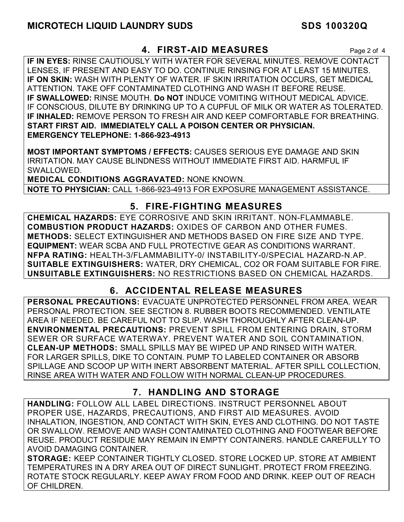### **4. FIRST-AID MEASURES** Page 2 of 4

**IF IN EYES:** RINSE CAUTIOUSLY WITH WATER FOR SEVERAL MINUTES. REMOVE CONTACT LENSES, IF PRESENT AND EASY TO DO. CONTINUE RINSING FOR AT LEAST 15 MINUTES. **IF ON SKIN:** WASH WITH PLENTY OF WATER. IF SKIN IRRITATION OCCURS, GET MEDICAL ATTENTION. TAKE OFF CONTAMINATED CLOTHING AND WASH IT BEFORE REUSE. **IF SWALLOWED:** RINSE MOUTH. **Do NOT** INDUCE VOMITING WITHOUT MEDICAL ADVICE. IF CONSCIOUS, DILUTE BY DRINKING UP TO A CUPFUL OF MILK OR WATER AS TOLERATED. **IF INHALED:** REMOVE PERSON TO FRESH AIR AND KEEP COMFORTABLE FOR BREATHING. **START FIRST AID. IMMEDIATELY CALL A POISON CENTER OR PHYSICIAN. EMERGENCY TELEPHONE: 1-866-923-4913**

**MOST IMPORTANT SYMPTOMS / EFFECTS:** CAUSES SERIOUS EYE DAMAGE AND SKIN IRRITATION. MAY CAUSE BLINDNESS WITHOUT IMMEDIATE FIRST AID. HARMFUL IF SWALLOWED.

**MEDICAL CONDITIONS AGGRAVATED:** NONE KNOWN. **NOTE TO PHYSICIAN:** CALL 1-866-923-4913 FOR EXPOSURE MANAGEMENT ASSISTANCE.

### **5. FIRE-FIGHTING MEASURES**

**CHEMICAL HAZARDS:** EYE CORROSIVE AND SKIN IRRITANT. NON-FLAMMABLE. **COMBUSTION PRODUCT HAZARDS:** OXIDES OF CARBON AND OTHER FUMES. **METHODS:** SELECT EXTINGUISHER AND METHODS BASED ON FIRE SIZE AND TYPE. **EQUIPMENT:** WEAR SCBA AND FULL PROTECTIVE GEAR AS CONDITIONS WARRANT. **NFPA RATING:** HEALTH-3/FLAMMABILITY-0/ INSTABILITY-0/SPECIAL HAZARD-N.AP. **SUITABLE EXTINGUISHERS:** WATER, DRY CHEMICAL, CO2 OR FOAM SUITABLE FOR FIRE. **UNSUITABLE EXTINGUISHERS:** NO RESTRICTIONS BASED ON CHEMICAL HAZARDS.

# **6. ACCIDENTAL RELEASE MEASURES**

**PERSONAL PRECAUTIONS:** EVACUATE UNPROTECTED PERSONNEL FROM AREA. WEAR PERSONAL PROTECTION. SEE SECTION 8. RUBBER BOOTS RECOMMENDED. VENTILATE AREA IF NEEDED. BE CAREFUL NOT TO SLIP. WASH THOROUGHLY AFTER CLEAN-UP. **ENVIRONMENTAL PRECAUTIONS:** PREVENT SPILL FROM ENTERING DRAIN, STORM SEWER OR SURFACE WATERWAY. PREVENT WATER AND SOIL CONTAMINATION. **CLEAN-UP METHODS:** SMALL SPILLS MAY BE WIPED UP AND RINSED WITH WATER. FOR LARGER SPILLS, DIKE TO CONTAIN. PUMP TO LABELED CONTAINER OR ABSORB SPILLAGE AND SCOOP UP WITH INERT ABSORBENT MATERIAL. AFTER SPILL COLLECTION, RINSE AREA WITH WATER AND FOLLOW WITH NORMAL CLEAN-UP PROCEDURES.

# **7. HANDLING AND STORAGE**

**HANDLING:** FOLLOW ALL LABEL DIRECTIONS. INSTRUCT PERSONNEL ABOUT PROPER USE, HAZARDS, PRECAUTIONS, AND FIRST AID MEASURES. AVOID INHALATION, INGESTION, AND CONTACT WITH SKIN, EYES AND CLOTHING. DO NOT TASTE OR SWALLOW. REMOVE AND WASH CONTAMINATED CLOTHING AND FOOTWEAR BEFORE REUSE. PRODUCT RESIDUE MAY REMAIN IN EMPTY CONTAINERS. HANDLE CAREFULLY TO AVOID DAMAGING CONTAINER.

**STORAGE:** KEEP CONTAINER TIGHTLY CLOSED. STORE LOCKED UP. STORE AT AMBIENT TEMPERATURES IN A DRY AREA OUT OF DIRECT SUNLIGHT. PROTECT FROM FREEZING. ROTATE STOCK REGULARLY. KEEP AWAY FROM FOOD AND DRINK. KEEP OUT OF REACH OF CHILDREN.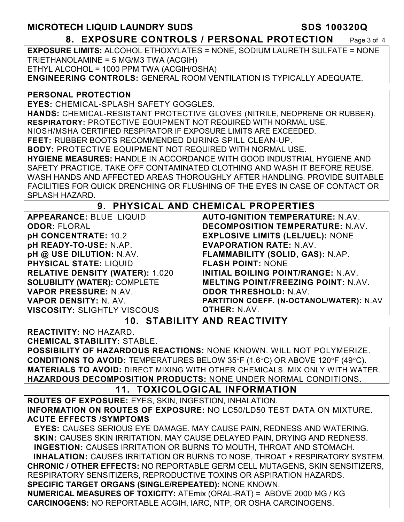**MICROTECH LIQUID LAUNDRY SUDS SDS 100320Q** 

**8. EXPOSURE CONTROLS / PERSONAL PROTECTION** Page 3 of 4

**EXPOSURE LIMITS:** ALCOHOL ETHOXYLATES = NONE, SODIUM LAURETH SULFATE = NONE TRIETHANOLAMINE = 5 MG/M3 TWA (ACGIH) ETHYL ALCOHOL = 1000 PPM TWA (ACGIH/OSHA) **ENGINEERING CONTROLS:** GENERAL ROOM VENTILATION IS TYPICALLY ADEQUATE.

**PERSONAL PROTECTION** 

**EYES:** CHEMICAL-SPLASH SAFETY GOGGLES. **HANDS:** CHEMICAL-RESISTANT PROTECTIVE GLOVES (NITRILE, NEOPRENE OR RUBBER). **RESPIRATORY:** PROTECTIVE EQUIPMENT NOT REQUIRED WITH NORMAL USE. NIOSH/MSHA CERTIFIED RESPIRATOR IF EXPOSURE LIMITS ARE EXCEEDED. **FEET:** RUBBER BOOTS RECOMMENDED DURING SPILL CLEAN-UP. **BODY:** PROTECTIVE EQUIPMENT NOT REQUIRED WITH NORMAL USE. **HYGIENE MEASURES:** HANDLE IN ACCORDANCE WITH GOOD INDUSTRIAL HYGIENE AND SAFETY PRACTICE. TAKE OFF CONTAMINATED CLOTHING AND WASH IT BEFORE REUSE. WASH HANDS AND AFFECTED AREAS THOROUGHLY AFTER HANDLING. PROVIDE SUITABLE FACILITIES FOR QUICK DRENCHING OR FLUSHING OF THE EYES IN CASE OF CONTACT OR SPLASH HAZARD.

# **9. PHYSICAL AND CHEMICAL PROPERTIES**

**APPEARANCE:** BLUE LIQUID **ODOR:** FLORAL **pH CONCENTRATE:** 10.2 **pH READY-TO-USE:** N.AP. **pH @ USE DILUTION:** N.AV. **PHYSICAL STATE:** LIQUID **RELATIVE DENSITY (WATER):** 1.020 **SOLUBILITY (WATER):** COMPLETE **VAPOR PRESSURE:** N.AV. **VAPOR DENSITY:** N. AV. **VISCOSITY:** SLIGHTLY VISCOUS

**AUTO-IGNITION TEMPERATURE:** N.AV. **DECOMPOSITION TEMPERATURE:** N.AV. **EXPLOSIVE LIMITS (LEL/UEL):** NONE **EVAPORATION RATE:** N.AV. **FLAMMABILITY (SOLID, GAS):** N.AP. **FLASH POINT:** NONE **INITIAL BOILING POINT/RANGE:** N.AV. **MELTING POINT/FREEZING POINT:** N.AV. **ODOR THRESHOLD:** N.AV. **PARTITION COEFF. (N-OCTANOL/WATER):** N.AV

**OTHER:** N.AV.

# **10. STABILITY AND REACTIVITY**

**REACTIVITY:** NO HAZARD.

**CHEMICAL STABILITY:** STABLE.

**POSSIBILITY OF HAZARDOUS REACTIONS:** NONE KNOWN. WILL NOT POLYMERIZE. **CONDITIONS TO AVOID:** TEMPERATURES BELOW 35°F (1.6°C) OR ABOVE 120°F (49°C). **MATERIALS TO AVOID:** DIRECT MIXING WITH OTHER CHEMICALS. MIX ONLY WITH WATER. **HAZARDOUS DECOMPOSITION PRODUCTS:** NONE UNDER NORMAL CONDITIONS.

#### **11. TOXICOLOGICAL INFORMATION**

**ROUTES OF EXPOSURE:** EYES, SKIN, INGESTION, INHALATION. **INFORMATION ON ROUTES OF EXPOSURE:** NO LC50/LD50 TEST DATA ON MIXTURE. **ACUTE EFFECTS /SYMPTOMS**

 **EYES:** CAUSES SERIOUS EYE DAMAGE. MAY CAUSE PAIN, REDNESS AND WATERING. **SKIN:** CAUSES SKIN IRRITATION. MAY CAUSE DELAYED PAIN, DRYING AND REDNESS. **INGESTION:** CAUSES IRRITATION OR BURNS TO MOUTH, THROAT AND STOMACH. **INHALATION:** CAUSES IRRITATION OR BURNS TO NOSE, THROAT + RESPIRATORY SYSTEM. **CHRONIC / OTHER EFFECTS:** NO REPORTABLE GERM CELL MUTAGENS, SKIN SENSITIZERS, RESPIRATORY SENSITIZERS, REPRODUCTIVE TOXINS OR ASPIRATION HAZARDS. **SPECIFIC TARGET ORGANS (SINGLE/REPEATED):** NONE KNOWN. **NUMERICAL MEASURES OF TOXICITY:** ATEmix (ORAL-RAT) = ABOVE 2000 MG / KG **CARCINOGENS:** NO REPORTABLE ACGIH, IARC, NTP, OR OSHA CARCINOGENS.